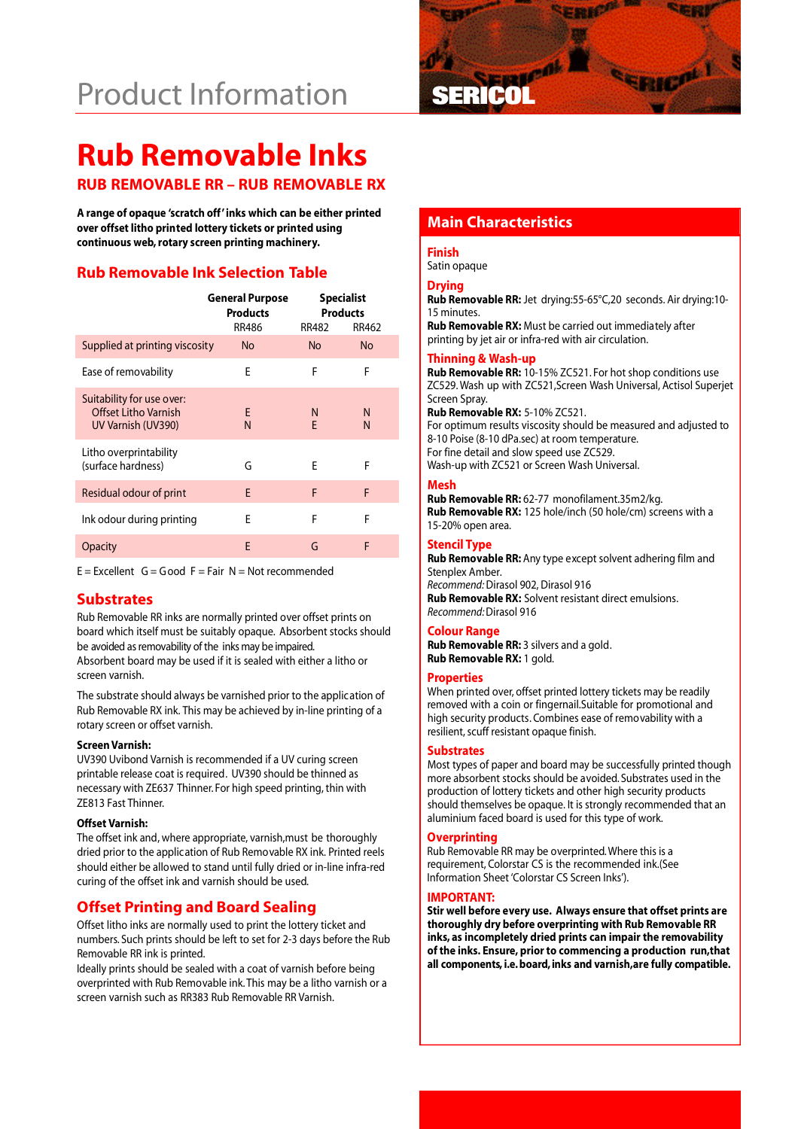# **Product Information**



# **Rub Removable Inks**

# **RUB REMOVABLE RR – RUB REMOVABLE RX**

**Main Characteristics A range of opaque 'scratch off'inks which can be either printed over offset litho printed lottery tickets or printed using continuous web, rotary screen printing machinery.**

# **Rub Removable Ink Selection Table**

|                                                                         | <b>General Purpose</b><br><b>Products</b><br><b>RR486</b> | <b>Specialist</b><br><b>Products</b><br>RR462<br>RR482 |           |
|-------------------------------------------------------------------------|-----------------------------------------------------------|--------------------------------------------------------|-----------|
| Supplied at printing viscosity                                          | No.                                                       | No.                                                    | <b>No</b> |
| Ease of removability                                                    | F                                                         | F                                                      | F         |
| Suitability for use over:<br>Offset Litho Varnish<br>UV Varnish (UV390) | F<br>N                                                    | N<br>F                                                 | N<br>N    |
| Litho overprintability<br>(surface hardness)                            | G                                                         | F                                                      | F         |
| Residual odour of print                                                 | F                                                         | F                                                      | F         |
| Ink odour during printing                                               | F                                                         | F                                                      | F         |
| <b>Opacity</b>                                                          | E                                                         | G                                                      | F         |

 $E =$  Excellent  $G =$  Good  $F =$  Fair N = Not recommended

# **Substrates**

Rub Removable RR inks are normally printed over offset prints on board which itself must be suitably opaque. Absorbent stocks should be avoided as removability of the inks may be impaired. Absorbent board may be used if it is sealed with either a litho or screen varnish.

The substrate should always be varnished prior to the application of Rub Removable RX ink. This may be achieved by in-line printing of a rotary screen or offset varnish.

#### **Screen Varnish:**

UV390 Uvibond Varnish is recommended if a UV curing screen printable release coat is required. UV390 should be thinned as necessary with ZE637 Thinner. For high speed printing, thin with ZE813 Fast Thinner.

#### **Offset Varnish:**

The offset ink and, where appropriate, varnish,must be thoroughly dried prior to the application of Rub Removable RX ink. Printed reels should either be allowed to stand until fully dried or in-line infra-red curing of the offset ink and varnish should be used.

# **Offset Printing and Board Sealing**

Offset litho inks are normally used to print the lottery ticket and numbers. Such prints should be left to set for 2-3 days before the Rub Removable RR ink is printed.

Ideally prints should be sealed with a coat of varnish before being overprinted with Rub Removable ink. This may be a litho varnish or a screen varnish such as RR383 Rub Removable RR Varnish.

#### **Finish**

Satin opaque

### **Drying**

**Rub Removable RR:** Jet drying:55-65°C,20 seconds. Air drying:10- 15 minutes.

**Rub Removable RX:** Must be carried out immediately after printing by jet air or infra-red with air circulation.

#### **Thinning & Wash-up**

**Rub Removable RR:** 10-15% ZC521. For hot shop conditions use ZC529. Wash up with ZC521,Screen Wash Universal, Actisol Superjet Screen Spray.

**Rub Removable RX:** 5-10% ZC521. For optimum results viscosity should be measured and adjusted to 8-10 Poise (8-10 dPa.sec) at room temperature. For fine detail and slow speed use ZC529. Wash-up with ZC521 or Screen Wash Universal.

#### **Mesh**

**Rub Removable RR:** 62-77 monofilament.35m2/kg. **Rub Removable RX:** 125 hole/inch (50 hole/cm) screens with a 15-20% open area.

#### **Stencil Type**

**Rub Removable RR:** Any type except solvent adhering film and Stenplex Amber. *Recommend:*Dirasol 902, Dirasol 916 **Rub Removable RX:** Solvent resistant direct emulsions. *Recommend:*Dirasol 916

#### **Colour Range**

**Rub Removable RR:** 3 silvers and a gold. **Rub Removable RX:** 1 gold.

#### **Properties**

When printed over, offset printed lottery tickets may be readily removed with a coin or fingernail.Suitable for promotional and high security products. Combines ease of removability with a resilient, scuff resistant opaque finish.

#### **Substrates**

Most types of paper and board may be successfully printed though more absorbent stocks should be avoided. Substrates used in the production of lottery tickets and other high security products should themselves be opaque. It is strongly recommended that an aluminium faced board is used for this type of work.

#### **Overprinting**

Rub Removable RR may be overprinted. Where this is a requirement, Colorstar CS is the recommended ink.(See Information Sheet 'Colorstar CS Screen Inks').

#### **IMPORTANT:**

**Stir well before every use. Always ensure that offset prints are thoroughly dry before overprinting with Rub Removable RR inks, as incompletely dried prints can impair the removability of the inks. Ensure, prior to commencing a production run,that** all components, i.e. board, inks and varnish, are fully compatible.